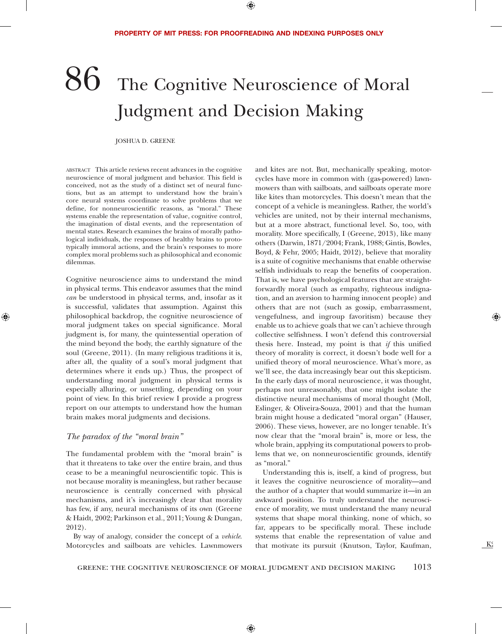⊕

# 86 The Cognitive Neuroscience of Moral Judgment and Decision Making

JOSHUA D. GREENE

ABSTRACT This article reviews recent advances in the cognitive neuroscience of moral judgment and behavior. This field is conceived, not as the study of a distinct set of neural functions, but as an attempt to understand how the brain's core neural systems coordinate to solve problems that we define, for nonneuroscientific reasons, as "moral." These systems enable the representation of value, cognitive control, the imagination of distal events, and the representation of mental states. Research examines the brains of morally pathological individuals, the responses of healthy brains to prototypically immoral actions, and the brain's responses to more complex moral problems such as philosophical and economic dilemmas.

Cognitive neuroscience aims to understand the mind in physical terms. This endeavor assumes that the mind *can* be understood in physical terms, and, insofar as it is successful, validates that assumption. Against this philosophical backdrop, the cognitive neuroscience of moral judgment takes on special significance. Moral judgment is, for many, the quintessential operation of the mind beyond the body, the earthly signature of the soul (Greene, 2011). (In many religious traditions it is, after all, the quality of a soul's moral judgment that determines where it ends up.) Thus, the prospect of understanding moral judgment in physical terms is especially alluring, or unsettling, depending on your point of view. In this brief review I provide a progress report on our attempts to understand how the human brain makes moral judgments and decisions.

# *The paradox of the "moral brain"*

⊕

The fundamental problem with the "moral brain" is that it threatens to take over the entire brain, and thus cease to be a meaningful neuroscientific topic. This is not because morality is meaningless, but rather because neuroscience is centrally concerned with physical mechanisms, and it's increasingly clear that morality has few, if any, neural mechanisms of its own (Greene & Haidt, 2002; Parkinson et al., 2011; Young & Dungan, 2012).

By way of analogy, consider the concept of a *vehicle*. Motorcycles and sailboats are vehicles. Lawnmowers and kites are not. But, mechanically speaking, motorcycles have more in common with (gas-powered) lawnmowers than with sailboats, and sailboats operate more like kites than motorcycles. This doesn't mean that the concept of a vehicle is meaningless. Rather, the world's vehicles are united, not by their internal mechanisms, but at a more abstract, functional level. So, too, with morality. More specifically, I (Greene, 2013), like many others (Darwin, 1871/2004; Frank, 1988; Gintis, Bowles, Boyd, & Fehr, 2005; Haidt, 2012), believe that morality is a suite of cognitive mechanisms that enable otherwise selfish individuals to reap the benefits of cooperation. That is, we have psychological features that are straightforwardly moral (such as empathy, righteous indignation, and an aversion to harming innocent people) and others that are not (such as gossip, embarrassment, vengefulness, and ingroup favoritism) because they enable us to achieve goals that we can't achieve through collective selfishness. I won't defend this controversial thesis here. Instead, my point is that *if* this unified theory of morality is correct, it doesn't bode well for a unified theory of moral neuroscience. What's more, as we'll see, the data increasingly bear out this skepticism. In the early days of moral neuroscience, it was thought, perhaps not unreasonably, that one might isolate the distinctive neural mechanisms of moral thought (Moll, Eslinger, & Oliveira-Souza, 2001) and that the human brain might house a dedicated "moral organ" (Hauser, 2006). These views, however, are no longer tenable. It's now clear that the "moral brain" is, more or less, the whole brain, applying its computational powers to problems that we, on nonneuroscientific grounds, identify as "moral."

Understanding this is, itself, a kind of progress, but it leaves the cognitive neuroscience of morality—and the author of a chapter that would summarize it—in an awkward position. To truly understand the neuroscience of morality, we must understand the many neural systems that shape moral thinking, none of which, so far, appears to be specifically moral. These include systems that enable the representation of value and that motivate its pursuit (Knutson, Taylor, Kaufman,

 $K<sup>c</sup>$ 

 $\bigoplus$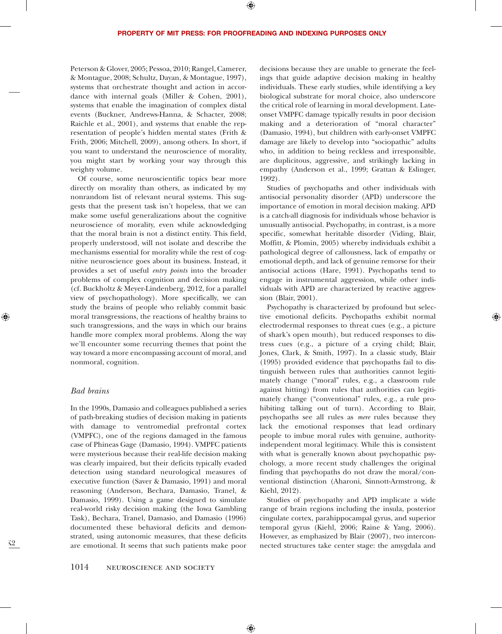Peterson & Glover, 2005; Pessoa, 2010; Rangel, Camerer, & Montague, 2008; Schultz, Dayan, & Montague, 1997), systems that orchestrate thought and action in accordance with internal goals (Miller & Cohen, 2001), systems that enable the imagination of complex distal events (Buckner, Andrews-Hanna, & Schacter, 2008; Raichle et al., 2001), and systems that enable the representation of people's hidden mental states (Frith & Frith, 2006; Mitchell, 2009), among others. In short, if you want to understand the neuroscience of morality, you might start by working your way through this weighty volume.

Of course, some neuroscientific topics bear more directly on morality than others, as indicated by my nonrandom list of relevant neural systems. This suggests that the present task isn't hopeless, that we can make some useful generalizations about the cognitive neuroscience of morality, even while acknowledging that the moral brain is not a distinct entity. This field, properly understood, will not isolate and describe the mechanisms essential for morality while the rest of cognitive neuroscience goes about its business. Instead, it provides a set of useful *entry points* into the broader problems of complex cognition and decision making (cf. Buckholtz & Meyer-Lindenberg, 2012, for a parallel view of psychopathology). More specifically, we can study the brains of people who reliably commit basic moral transgressions, the reactions of healthy brains to such transgressions, and the ways in which our brains handle more complex moral problems. Along the way we'll encounter some recurring themes that point the way toward a more encompassing account of moral, and nonmoral, cognition.

## *Bad brains*

 $\zeta_2$ 

⊕

In the 1990s, Damasio and colleagues published a series of path-breaking studies of decision making in patients with damage to ventromedial prefrontal cortex (VMPFC), one of the regions damaged in the famous case of Phineas Gage (Damasio, 1994). VMPFC patients were mysterious because their real-life decision making was clearly impaired, but their deficits typically evaded detection using standard neurological measures of executive function (Saver & Damasio, 1991) and moral reasoning (Anderson, Bechara, Damasio, Tranel, & Damasio, 1999). Using a game designed to simulate real-world risky decision making (the Iowa Gambling Task), Bechara, Tranel, Damasio, and Damasio (1996) documented these behavioral deficits and demonstrated, using autonomic measures, that these deficits are emotional. It seems that such patients make poor

decisions because they are unable to generate the feelings that guide adaptive decision making in healthy individuals. These early studies, while identifying a key biological substrate for moral choice, also underscore the critical role of learning in moral development. Lateonset VMPFC damage typically results in poor decision making and a deterioration of "moral character" (Damasio, 1994), but children with early-onset VMPFC damage are likely to develop into "sociopathic" adults who, in addition to being reckless and irresponsible, are duplicitous, aggressive, and strikingly lacking in empathy (Anderson et al., 1999; Grattan & Eslinger, 1992).

Studies of psychopaths and other individuals with antisocial personality disorder (APD) underscore the importance of emotion in moral decision making. APD is a catch-all diagnosis for individuals whose behavior is unusually antisocial. Psychopathy, in contrast, is a more specific, somewhat heritable disorder (Viding, Blair, Moffitt, & Plomin, 2005) whereby individuals exhibit a pathological degree of callousness, lack of empathy or emotional depth, and lack of genuine remorse for their antisocial actions (Hare, 1991). Psychopaths tend to engage in instrumental aggression, while other individuals with APD are characterized by reactive aggression (Blair, 2001).

Psychopathy is characterized by profound but selective emotional deficits. Psychopaths exhibit normal electrodermal responses to threat cues (e.g., a picture of shark's open mouth), but reduced responses to distress cues (e.g., a picture of a crying child; Blair, Jones, Clark, & Smith, 1997). In a classic study, Blair (1995) provided evidence that psychopaths fail to distinguish between rules that authorities cannot legitimately change ("moral" rules, e.g., a classroom rule against hitting) from rules that authorities can legitimately change ("conventional" rules, e.g., a rule prohibiting talking out of turn). According to Blair, psychopaths see all rules as *mere* rules because they lack the emotional responses that lead ordinary people to imbue moral rules with genuine, authorityindependent moral legitimacy. While this is consistent with what is generally known about psychopathic psychology, a more recent study challenges the original finding that psychopaths do not draw the moral/conventional distinction (Aharoni, Sinnott-Armstrong, & Kiehl, 2012).

Studies of psychopathy and APD implicate a wide range of brain regions including the insula, posterior cingulate cortex, parahippocampal gyrus, and superior temporal gyrus (Kiehl, 2006; Raine & Yang, 2006). However, as emphasized by Blair (2007), two interconnected structures take center stage: the amygdala and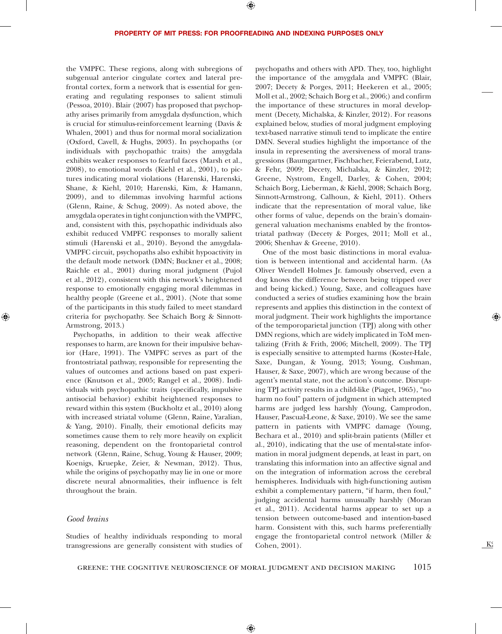the VMPFC. These regions, along with subregions of subgenual anterior cingulate cortex and lateral prefrontal cortex, form a network that is essential for generating and regulating responses to salient stimuli (Pessoa, 2010). Blair (2007) has proposed that psychopathy arises primarily from amygdala dysfunction, which is crucial for stimulus-reinforcement learning (Davis & Whalen, 2001) and thus for normal moral socialization (Oxford, Cavell, & Hughs, 2003). In psychopaths (or individuals with psychopathic traits) the amygdala exhibits weaker responses to fearful faces (Marsh et al., 2008), to emotional words (Kiehl et al., 2001), to pictures indicating moral violations (Harenski, Harenski, Shane, & Kiehl, 2010; Harenski, Kim, & Hamann, 2009), and to dilemmas involving harmful actions (Glenn, Raine, & Schug, 2009). As noted above, the amygdala operates in tight conjunction with the VMPFC, and, consistent with this, psychopathic individuals also exhibit reduced VMPFC responses to morally salient stimuli (Harenski et al., 2010). Beyond the amygdala-VMPFC circuit, psychopaths also exhibit hypoactivity in the default mode network (DMN; Buckner et al., 2008; Raichle et al., 2001) during moral judgment (Pujol et al., 2012), consistent with this network's heightened response to emotionally engaging moral dilemmas in healthy people (Greene et al., 2001). (Note that some of the participants in this study failed to meet standard criteria for psychopathy. See Schaich Borg & Sinnott-Armstrong, 2013.)

Psychopaths, in addition to their weak affective responses to harm, are known for their impulsive behavior (Hare, 1991). The VMPFC serves as part of the frontostriatal pathway, responsible for representing the values of outcomes and actions based on past experience (Knutson et al., 2005; Rangel et al., 2008). Individuals with psychopathic traits (specifically, impulsive antisocial behavior) exhibit heightened responses to reward within this system (Buckholtz et al., 2010) along with increased striatal volume (Glenn, Raine, Yaralian, & Yang, 2010). Finally, their emotional deficits may sometimes cause them to rely more heavily on explicit reasoning, dependent on the frontoparietal control network (Glenn, Raine, Schug, Young & Hauser, 2009; Koenigs, Kruepke, Zeier, & Newman, 2012). Thus, while the origins of psychopathy may lie in one or more discrete neural abnormalities, their influence is felt throughout the brain.

# *Good brains*

Studies of healthy individuals responding to moral transgressions are generally consistent with studies of psychopaths and others with APD. They, too, highlight the importance of the amygdala and VMPFC (Blair, 2007; Decety & Porges, 2011; Heekeren et al., 2005; Moll et al., 2002; Schaich Borg et al., 2006;) and confirm the importance of these structures in moral development (Decety, Michalska, & Kinzler, 2012). For reasons explained below, studies of moral judgment employing text-based narrative stimuli tend to implicate the entire DMN. Several studies highlight the importance of the insula in representing the aversiveness of moral transgressions (Baumgartner, Fischbacher, Feierabend, Lutz, & Fehr, 2009; Decety, Michalska, & Kinzler, 2012; Greene, Nystrom, Engell, Darley, & Cohen, 2004; Schaich Borg, Lieberman, & Kiehl, 2008; Schaich Borg, Sinnott-Armstrong, Calhoun, & Kiehl, 2011). Others indicate that the representation of moral value, like other forms of value, depends on the brain's domaingeneral valuation mechanisms enabled by the frontostriatal pathway (Decety & Porges, 2011; Moll et al., 2006; Shenhav & Greene, 2010).

One of the most basic distinctions in moral evaluation is between intentional and accidental harm. (As Oliver Wendell Holmes Jr. famously observed, even a dog knows the difference between being tripped over and being kicked.) Young, Saxe, and colleagues have conducted a series of studies examining how the brain represents and applies this distinction in the context of moral judgment. Their work highlights the importance of the temporoparietal junction (TPJ) along with other DMN regions, which are widely implicated in ToM mentalizing (Frith & Frith, 2006; Mitchell, 2009). The TPJ is especially sensitive to attempted harms (Koster-Hale, Saxe, Dungan, & Young, 2013; Young, Cushman, Hauser, & Saxe, 2007), which are wrong because of the agent's mental state, not the action's outcome. Disrupting TPJ activity results in a child-like (Piaget, 1965), "no harm no foul" pattern of judgment in which attempted harms are judged less harshly (Young, Camprodon, Hauser, Pascual-Leone, & Saxe, 2010). We see the same pattern in patients with VMPFC damage (Young, Bechara et al., 2010) and split-brain patients (Miller et al., 2010), indicating that the use of mental-state information in moral judgment depends, at least in part, on translating this information into an affective signal and on the integration of information across the cerebral hemispheres. Individuals with high-functioning autism exhibit a complementary pattern, "if harm, then foul," judging accidental harms unusually harshly (Moran et al., 2011). Accidental harms appear to set up a tension between outcome-based and intention-based harm. Consistent with this, such harms preferentially engage the frontoparietal control network (Miller & Cohen, 2001).

greene: the cognitive neuroscience of moral judgment and decision making 1015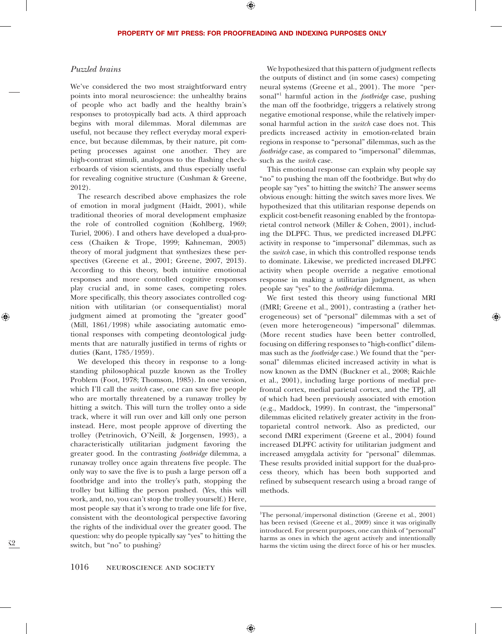# *Puzzled brains*

We've considered the two most straightforward entry points into moral neuroscience: the unhealthy brains of people who act badly and the healthy brain's responses to protoypically bad acts. A third approach begins with moral dilemmas. Moral dilemmas are useful, not because they reflect everyday moral experience, but because dilemmas, by their nature, pit competing processes against one another. They are high-contrast stimuli, analogous to the flashing checkerboards of vision scientists, and thus especially useful for revealing cognitive structure (Cushman & Greene, 2012).

The research described above emphasizes the role of emotion in moral judgment (Haidt, 2001), while traditional theories of moral development emphasize the role of controlled cognition (Kohlberg, 1969; Turiel, 2006). I and others have developed a dual-process (Chaiken & Trope, 1999; Kahneman, 2003) theory of moral judgment that synthesizes these perspectives (Greene et al., 2001; Greene, 2007, 2013). According to this theory, both intuitive emotional responses and more controlled cognitive responses play crucial and, in some cases, competing roles. More specifically, this theory associates controlled cognition with utilitarian (or consequentialist) moral judgment aimed at promoting the "greater good" (Mill, 1861/1998) while associating automatic emotional responses with competing deontological judgments that are naturally justified in terms of rights or duties (Kant, 1785/1959).

We developed this theory in response to a longstanding philosophical puzzle known as the Trolley Problem (Foot, 1978; Thomson, 1985). In one version, which I'll call the *switch* case, one can save five people who are mortally threatened by a runaway trolley by hitting a switch. This will turn the trolley onto a side track, where it will run over and kill only one person instead. Here, most people approve of diverting the trolley (Petrinovich, O'Neill, & Jorgensen, 1993), a characteristically utilitarian judgment favoring the greater good. In the contrasting *footbridge* dilemma, a runaway trolley once again threatens five people. The only way to save the five is to push a large person off a footbridge and into the trolley's path, stopping the trolley but killing the person pushed. (Yes, this will work, and, no, you can't stop the trolley yourself.) Here, most people say that it's wrong to trade one life for five, consistent with the deontological perspective favoring the rights of the individual over the greater good. The question: why do people typically say "yes" to hitting the switch, but "no" to pushing?

1016 NEUROSCIENCE AND SOCIETY

 $\zeta_2$ 

We hypothesized that this pattern of judgment reflects the outputs of distinct and (in some cases) competing neural systems (Greene et al., 2001). The more "personal"1 harmful action in the *footbridge* case, pushing the man off the footbridge, triggers a relatively strong negative emotional response, while the relatively impersonal harmful action in the *switch* case does not. This predicts increased activity in emotion-related brain regions in response to "personal" dilemmas, such as the *footbridge* case, as compared to "impersonal" dilemmas, such as the *switch* case.

This emotional response can explain why people say "no" to pushing the man off the footbridge. But why do people say "yes" to hitting the switch? The answer seems obvious enough: hitting the switch saves more lives. We hypothesized that this utilitarian response depends on explicit cost-benefit reasoning enabled by the frontoparietal control network (Miller & Cohen, 2001), including the DLPFC. Thus, we predicted increased DLPFC activity in response to "impersonal" dilemmas, such as the *switch* case, in which this controlled response tends to dominate. Likewise, we predicted increased DLPFC activity when people override a negative emotional response in making a utilitarian judgment, as when people say "yes" to the *footbridge* dilemma.

We first tested this theory using functional MRI (fMRI; Greene et al., 2001), contrasting a (rather heterogeneous) set of "personal" dilemmas with a set of (even more heterogeneous) "impersonal" dilemmas. (More recent studies have been better controlled, focusing on differing responses to "high-conflict" dilemmas such as the *footbridge* case.) We found that the "personal" dilemmas elicited increased activity in what is now known as the DMN (Buckner et al., 2008; Raichle et al., 2001), including large portions of medial prefrontal cortex, medial parietal cortex, and the TPJ, all of which had been previously associated with emotion (e.g., Maddock, 1999). In contrast, the "impersonal" dilemmas elicited relatively greater activity in the frontoparietal control network. Also as predicted, our second fMRI experiment (Greene et al., 2004) found increased DLPFC activity for utilitarian judgment and increased amygdala activity for "personal" dilemmas. These results provided initial support for the dual-process theory, which has been both supported and refined by subsequent research using a broad range of methods.

<sup>&</sup>lt;sup>1</sup>The personal/impersonal distinction (Greene et al., 2001) has been revised (Greene et al., 2009) since it was originally introduced. For present purposes, one can think of "personal" harms as ones in which the agent actively and intentionally harms the victim using the direct force of his or her muscles.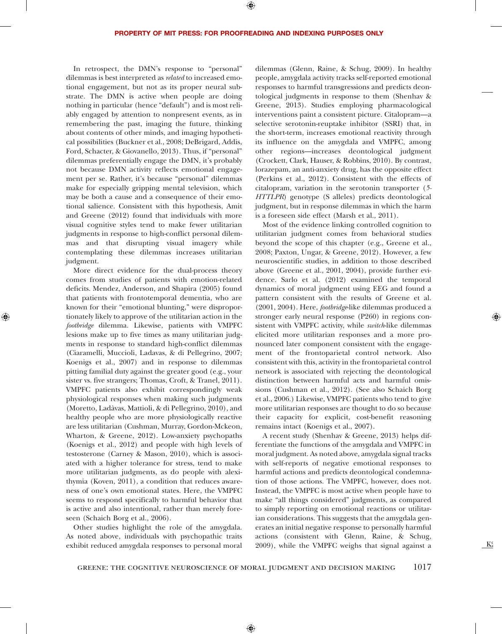In retrospect, the DMN's response to "personal" dilemmas is best interpreted as *related* to increased emotional engagement, but not as its proper neural substrate. The DMN is active when people are doing nothing in particular (hence "default") and is most reliably engaged by attention to nonpresent events, as in remembering the past, imaging the future, thinking about contents of other minds, and imaging hypothetical possibilities (Buckner et al., 2008; DeBrigard, Addis, Ford, Schacter, & Giovanello, 2013). Thus, if "personal" dilemmas preferentially engage the DMN, it's probably not because DMN activity reflects emotional engagement per se. Rather, it's because "personal" dilemmas make for especially gripping mental television, which may be both a cause and a consequence of their emotional salience. Consistent with this hypothesis, Amit and Greene (2012) found that individuals with more visual cognitive styles tend to make fewer utilitarian judgments in response to high-conflict personal dilemmas and that disrupting visual imagery while contemplating these dilemmas increases utilitarian judgment.

More direct evidence for the dual-process theory comes from studies of patients with emotion-related deficits. Mendez, Anderson, and Shapira (2005) found that patients with frontotemporal dementia, who are known for their "emotional blunting," were disproportionately likely to approve of the utilitarian action in the *footbridge* dilemma. Likewise, patients with VMPFC lesions make up to five times as many utilitarian judgments in response to standard high-conflict dilemmas (Ciaramelli, Muccioli, Ladavas, & di Pellegrino, 2007; Koenigs et al., 2007) and in response to dilemmas pitting familial duty against the greater good (e.g., your sister vs. five strangers; Thomas, Croft, & Tranel, 2011). VMPFC patients also exhibit correspondingly weak physiological responses when making such judgments (Moretto, Ladàvas, Mattioli, & di Pellegrino, 2010), and healthy people who are more physiologically reactive are less utilitarian (Cushman, Murray, Gordon-Mckeon, Wharton, & Greene, 2012). Low-anxiety psychopaths (Koenigs et al., 2012) and people with high levels of testosterone (Carney & Mason, 2010), which is associated with a higher tolerance for stress, tend to make more utilitarian judgments, as do people with alexithymia (Koven, 2011), a condition that reduces awareness of one's own emotional states. Here, the VMPFC seems to respond specifically to harmful behavior that is active and also intentional, rather than merely foreseen (Schaich Borg et al., 2006).

Other studies highlight the role of the amygdala. As noted above, individuals with psychopathic traits exhibit reduced amygdala responses to personal moral

dilemmas (Glenn, Raine, & Schug, 2009). In healthy people, amygdala activity tracks self-reported emotional responses to harmful transgressions and predicts deontological judgments in response to them (Shenhav & Greene, 2013). Studies employing pharmacological interventions paint a consistent picture. Citalopram—a selective serotonin-reuptake inhibitor (SSRI) that, in the short-term, increases emotional reactivity through its influence on the amygdala and VMPFC, among other regions—increases deontological judgment (Crockett, Clark, Hauser, & Robbins, 2010). By contrast, lorazepam, an anti-anxiety drug, has the opposite effect (Perkins et al., 2012). Consistent with the effects of citalopram, variation in the serotonin transporter (*5- HTTLPR*) genotype (S alleles) predicts deontological judgment, but in response dilemmas in which the harm is a foreseen side effect (Marsh et al., 2011).

Most of the evidence linking controlled cognition to utilitarian judgment comes from behavioral studies beyond the scope of this chapter (e.g., Greene et al., 2008; Paxton, Ungar, & Greene, 2012). However, a few neuroscientific studies, in addition to those described above (Greene et al., 2001, 2004), provide further evidence. Sarlo et al. (2012) examined the temporal dynamics of moral judgment using EEG and found a pattern consistent with the results of Greene et al. (2001, 2004). Here, *footbridge*-like dilemmas produced a stronger early neural response (P260) in regions consistent with VMPFC activity, while *switch*-like dilemmas elicited more utilitarian responses and a more pronounced later component consistent with the engagement of the frontoparietal control network. Also consistent with this, activity in the frontoparietal control network is associated with rejecting the deontological distinction between harmful acts and harmful omissions (Cushman et al., 2012). (See also Schaich Borg et al., 2006.) Likewise, VMPFC patients who tend to give more utilitarian responses are thought to do so because their capacity for explicit, cost-benefit reasoning remains intact (Koenigs et al., 2007).

A recent study (Shenhav & Greene, 2013) helps differentiate the functions of the amygdala and VMPFC in moral judgment. As noted above, amygdala signal tracks with self-reports of negative emotional responses to harmful actions and predicts deontological condemnation of those actions. The VMPFC, however, does not. Instead, the VMPFC is most active when people have to make "all things considered" judgments, as compared to simply reporting on emotional reactions or utilitarian considerations. This suggests that the amygdala generates an initial negative response to personally harmful actions (consistent with Glenn, Raine, & Schug, 2009), while the VMPFC weighs that signal against a

 $K_2^c$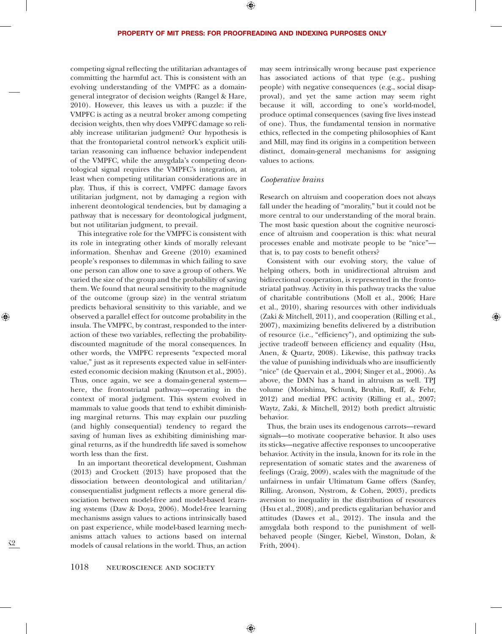competing signal reflecting the utilitarian advantages of committing the harmful act. This is consistent with an evolving understanding of the VMPFC as a domaingeneral integrator of decision weights (Rangel & Hare, 2010). However, this leaves us with a puzzle: if the VMPFC is acting as a neutral broker among competing decision weights, then why does VMPFC damage so reliably increase utilitarian judgment? Our hypothesis is that the frontoparietal control network's explicit utilitarian reasoning can influence behavior independent of the VMPFC, while the amygdala's competing deontological signal requires the VMPFC's integration, at least when competing utilitarian considerations are in play. Thus, if this is correct, VMPFC damage favors utilitarian judgment, not by damaging a region with inherent deontological tendencies, but by damaging a pathway that is necessary for deontological judgment, but not utilitarian judgment, to prevail.

This integrative role for the VMPFC is consistent with its role in integrating other kinds of morally relevant information. Shenhav and Greene (2010) examined people's responses to dilemmas in which failing to save one person can allow one to save a group of others. We varied the size of the group and the probability of saving them. We found that neural sensitivity to the magnitude of the outcome (group size) in the ventral striatum predicts behavioral sensitivity to this variable, and we observed a parallel effect for outcome probability in the insula. The VMPFC, by contrast, responded to the interaction of these two variables, reflecting the probabilitydiscounted magnitude of the moral consequences. In other words, the VMPFC represents "expected moral value," just as it represents expected value in self-interested economic decision making (Knutson et al., 2005). Thus, once again, we see a domain-general system here, the frontostriatal pathway—operating in the context of moral judgment. This system evolved in mammals to value goods that tend to exhibit diminishing marginal returns. This may explain our puzzling (and highly consequential) tendency to regard the saving of human lives as exhibiting diminishing marginal returns, as if the hundredth life saved is somehow worth less than the first.

In an important theoretical development, Cushman (2013) and Crockett (2013) have proposed that the dissociation between deontological and utilitarian/ consequentialist judgment reflects a more general dissociation between model-free and model-based learning systems (Daw & Doya, 2006). Model-free learning mechanisms assign values to actions intrinsically based on past experience, while model-based learning mechanisms attach values to actions based on internal models of causal relations in the world. Thus, an action

⊕

may seem intrinsically wrong because past experience has associated actions of that type (e.g., pushing people) with negative consequences (e.g., social disapproval), and yet the same action may seem right because it will, according to one's world-model, produce optimal consequences (saving five lives instead of one). Thus, the fundamental tension in normative ethics, reflected in the competing philosophies of Kant and Mill, may find its origins in a competition between distinct, domain-general mechanisms for assigning values to actions.

# *Cooperative brains*

Research on altruism and cooperation does not always fall under the heading of "morality," but it could not be more central to our understanding of the moral brain. The most basic question about the cognitive neuroscience of altruism and cooperation is this: what neural processes enable and motivate people to be "nice" that is, to pay costs to benefit others?

Consistent with our evolving story, the value of helping others, both in unidirectional altruism and bidirectional cooperation, is represented in the frontostriatal pathway. Activity in this pathway tracks the value of charitable contributions (Moll et al., 2006; Hare et al., 2010), sharing resources with other individuals (Zaki & Mitchell, 2011), and cooperation (Rilling et al., 2007), maximizing benefits delivered by a distribution of resource (i.e., "efficiency"), and optimizing the subjective tradeoff between efficiency and equality (Hsu, Anen, & Quartz, 2008). Likewise, this pathway tracks the value of punishing individuals who are insufficiently "nice" (de Quervain et al., 2004; Singer et al., 2006). As above, the DMN has a hand in altruism as well. TPJ volume (Morishima, Schunk, Bruhin, Ruff, & Fehr, 2012) and medial PFC activity (Rilling et al., 2007; Waytz, Zaki, & Mitchell, 2012) both predict altruistic behavior.

Thus, the brain uses its endogenous carrots—reward signals—to motivate cooperative behavior. It also uses its sticks—negative affective responses to uncooperative behavior. Activity in the insula, known for its role in the representation of somatic states and the awareness of feelings (Craig, 2009), scales with the magnitude of the unfairness in unfair Ultimatum Game offers (Sanfey, Rilling, Aronson, Nystrom, & Cohen, 2003), predicts aversion to inequality in the distribution of resources (Hsu et al., 2008), and predicts egalitarian behavior and attitudes (Dawes et al., 2012). The insula and the amygdala both respond to the punishment of wellbehaved people (Singer, Kiebel, Winston, Dolan, & Frith, 2004).

 $\zeta_2$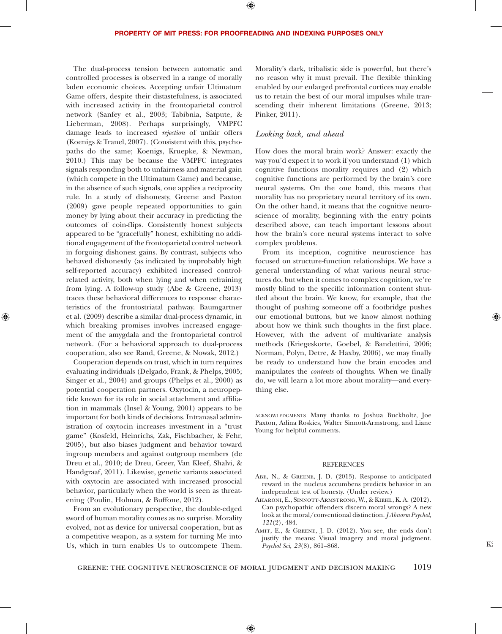The dual-process tension between automatic and controlled processes is observed in a range of morally laden economic choices. Accepting unfair Ultimatum Game offers, despite their distastefulness, is associated with increased activity in the frontoparietal control network (Sanfey et al., 2003; Tabibnia, Satpute, & Lieberman, 2008). Perhaps surprisingly, VMPFC damage leads to increased *rejection* of unfair offers (Koenigs & Tranel, 2007). (Consistent with this, psychopaths do the same; Koenigs, Kruepke, & Newman, 2010.) This may be because the VMPFC integrates signals responding both to unfairness and material gain (which compete in the Ultimatum Game) and because, in the absence of such signals, one applies a reciprocity rule. In a study of dishonesty, Greene and Paxton (2009) gave people repeated opportunities to gain money by lying about their accuracy in predicting the outcomes of coin-flips. Consistently honest subjects appeared to be "gracefully" honest, exhibiting no additional engagement of the frontoparietal control network in forgoing dishonest gains. By contrast, subjects who behaved dishonestly (as indicated by improbably high self-reported accuracy) exhibited increased controlrelated activity, both when lying and when refraining from lying. A follow-up study (Abe & Greene, 2013) traces these behavioral differences to response characteristics of the frontostriatal pathway. Baumgartner et al. (2009) describe a similar dual-process dynamic, in which breaking promises involves increased engagement of the amygdala and the frontoparietal control network. (For a behavioral approach to dual-process cooperation, also see Rand, Greene, & Nowak, 2012.)

Cooperation depends on trust, which in turn requires evaluating individuals (Delgado, Frank, & Phelps, 2005; Singer et al., 2004) and groups (Phelps et al., 2000) as potential cooperation partners. Oxytocin, a neuropeptide known for its role in social attachment and affiliation in mammals (Insel & Young, 2001) appears to be important for both kinds of decisions. Intranasal administration of oxytocin increases investment in a "trust game" (Kosfeld, Heinrichs, Zak, Fischbacher, & Fehr, 2005), but also biases judgment and behavior toward ingroup members and against outgroup members (de Dreu et al., 2010; de Dreu, Greer, Van Kleef, Shalvi, & Handgraaf, 2011). Likewise, genetic variants associated with oxytocin are associated with increased prosocial behavior, particularly when the world is seen as threatening (Poulin, Holman, & Buffone, 2012).

From an evolutionary perspective, the double-edged sword of human morality comes as no surprise. Morality evolved, not as device for universal cooperation, but as a competitive weapon, as a system for turning Me into Us, which in turn enables Us to outcompete Them.

Morality's dark, tribalistic side is powerful, but there's no reason why it must prevail. The flexible thinking enabled by our enlarged prefrontal cortices may enable us to retain the best of our moral impulses while transcending their inherent limitations (Greene, 2013; Pinker, 2011).

# *Looking back, and ahead*

How does the moral brain work? Answer: exactly the way you'd expect it to work if you understand (1) which cognitive functions morality requires and (2) which cognitive functions are performed by the brain's core neural systems. On the one hand, this means that morality has no proprietary neural territory of its own. On the other hand, it means that the cognitive neuroscience of morality, beginning with the entry points described above, can teach important lessons about how the brain's core neural systems interact to solve complex problems.

From its inception, cognitive neuroscience has focused on structure-function relationships. We have a general understanding of what various neural structures do, but when it comes to complex cognition, we're mostly blind to the specific information content shuttled about the brain. We know, for example, that the thought of pushing someone off a footbridge pushes our emotional buttons, but we know almost nothing about how we think such thoughts in the first place. However, with the advent of multivariate analysis methods (Kriegeskorte, Goebel, & Bandettini, 2006; Norman, Polyn, Detre, & Haxby, 2006), we may finally be ready to understand how the brain encodes and manipulates the *contents* of thoughts. When we finally do, we will learn a lot more about morality—and everything else.

ACKNOWLEDGMENTS Many thanks to Joshua Buckholtz, Joe Paxton, Adina Roskies, Walter Sinnott-Armstrong, and Liane Young for helpful comments.

#### **REFERENCES**

- Abe, N., & Greene, J. D. (2013). Response to anticipated reward in the nucleus accumbens predicts behavior in an independent test of honesty. (Under review.)
- Aharoni, E., Sinnott-Armstrong, W., & Kiehl, K. A. (2012). Can psychopathic offenders discern moral wrongs? A new look at the moral/conventional distinction. *J Abnorm Psychol*, *121*(2), 484.
- Amit, E., & Greene, J. D. (2012). You see, the ends don't justify the means: Visual imagery and moral judgment. *Psychol Sci*, *23*(8), 861–868.

 $K_2^c$ 

greene: the cognitive neuroscience of moral judgment and decision making 1019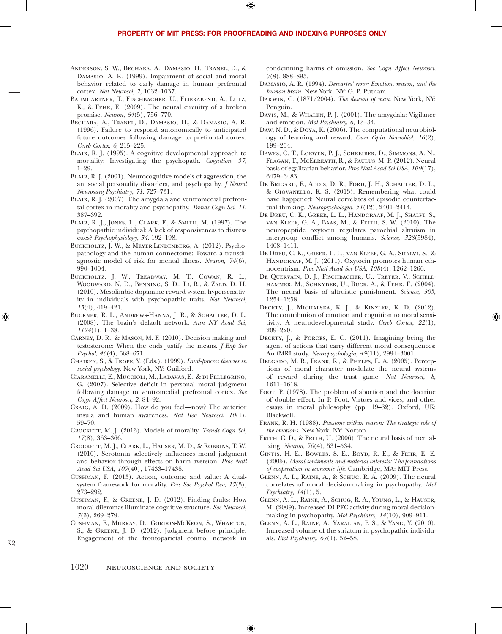- Anderson, S. W., Bechara, A., Damasio, H., Tranel, D., & Damasio, A. R. (1999). Impairment of social and moral behavior related to early damage in human prefrontal cortex. *Nat Neurosci*, *2*, 1032–1037.
- Baumgartner, T., Fischbacher, U., Feierabend, A., Lutz, K., & Fehr, E. (2009). The neural circuitry of a broken promise. *Neuron*, *64*(5), 756–770.
- Bechara, A., Tranel, D., Damasio, H., & Damasio, A. R. (1996). Failure to respond autonomically to anticipated future outcomes following damage to prefrontal cortex. *Cereb Cortex*, *6*, 215–225.
- Blair, R. J. (1995). A cognitive developmental approach to mortality: Investigating the psychopath. *Cognition*, *57*, 1–29.
- Blair, R. J. (2001). Neurocognitive models of aggression, the antisocial personality disorders, and psychopathy. *J Neurol Neurosurg Psychiatry*, *71*, 727–731.
- BLAIR, R. J. (2007). The amygdala and ventromedial prefrontal cortex in morality and psychopathy. *Trends Cogn Sci*, *11*, 387–392.
- Blair, R. J., Jones, L., Clark, F., & Smith, M. (1997). The psychopathic individual: A lack of responsiveness to distress cues? *Psychophysiology*, *34*, 192–198.
- BUCKHOLTZ, J. W., & MEYER-LINDENBERG, A. (2012). Psychopathology and the human connectome: Toward a transdiagnostic model of risk for mental illness. *Neuron*, *74*(6), 990–1004.
- Buckholtz, J. W., Treadway, M. T., Cowan, R. L., Woodward, N. D., Benning, S. D., Li, R., & Zald, D. H. (2010). Mesolimbic dopamine reward system hypersensitivity in individuals with psychopathic traits. *Nat Neurosci*, *13*(4), 419–421.
- Buckner, R. L., Andrews-Hanna, J. R., & Schacter, D. L. (2008). The brain's default network. *Ann NY Acad Sci*, *1124*(1), 1–38.
- Carney, D. R., & Mason, M. F. (2010). Decision making and testosterone: When the ends justify the means. *J Exp Soc Psychol*, *46*(4), 668–671.
- Chaiken, S., & Trope, Y. (Eds.). (1999). *Dual-process theories in social psychology*. New York, NY: Guilford.
- Ciaramelli, E., Muccioli, M., Ladavas, E., & di Pellegrino, G. (2007). Selective deficit in personal moral judgment following damage to ventromedial prefrontal cortex. *Soc Cogn Affect Neurosci*, *2*, 84–92.
- Craig, A. D. (2009). How do you feel—now? The anterior insula and human awareness. *Nat Rev Neurosci*, *10*(1), 59–70.
- Crockett, M. J. (2013). Models of morality. *Trends Cogn Sci*, *17*(8), 363–366.
- Crockett, M. J., Clark, L., Hauser, M. D., & Robbins, T. W. (2010). Serotonin selectively influences moral judgment and behavior through effects on harm aversion. *Proc Natl Acad Sci USA*, *107*(40), 17433–17438.
- Cushman, F. (2013). Action, outcome and value: A dualsystem framework for morality. *Pers Soc Psychol Rev*, *17*(3), 273–292.
- Cushman, F., & Greene, J. D. (2012). Finding faults: How moral dilemmas illuminate cognitive structure. *Soc Neurosci*, *7*(3), 269–279.
- Cushman, F., Murray, D., Gordon-McKeon, S., Wharton, S., & Greene, J. D. (2012). Judgment before principle: Engagement of the frontoparietal control network in

⊕

condemning harms of omission. *Soc Cogn Affect Neurosci*, *7*(8), 888–895.

- Damasio, A. R. (1994). *Descartes' error: Emotion, reason, and the human brain*. New York, NY: G. P. Putnam.
- Darwin, C. (1871/2004). *The descent of man*. New York, NY: Penguin.
- Davis, M., & Whalen, P. J. (2001). The amygdala: Vigilance and emotion. *Mol Psychiatry*, *6*, 13–34.
- Daw, N. D., & Doya, K. (2006). The computational neurobiology of learning and reward. *Curr Opin Neurobiol*, *16*(2), 199–204.
- Dawes, C. T., Loewen, P. J., Schreiber, D., Simmons, A. N., Flagan, T., McElreath, R., & Paulus, M. P. (2012). Neural basis of egalitarian behavior. *Proc Natl Acad Sci USA*, *109*(17), 6479–6483.
- De Brigard, F., Addis, D. R., Ford, J. H., Schacter, D. L., & Giovanello, K. S. (2013). Remembering what could have happened: Neural correlates of episodic counterfactual thinking. *Neuropsychologia*, *51*(12), 2401–2414.
- De Dreu, C. K., Greer, L. L., Handgraaf, M. J., Shalvi, S., van Kleef, G. A., Baas, M., & Feith, S. W. (2010). The neuropeptide oxytocin regulates parochial altruism in intergroup conflict among humans. *Science*, *328*(5984), 1408–1411.
- De Dreu, C. K., Greer, L. L., van Kleef, G. A., Shalvi, S., & HANDGRAAF, M. J. (2011). Oxytocin promotes human ethnocentrism. *Proc Natl Acad Sci USA*, *108*(4), 1262–1266.
- De Quervain, D. J., Fischbacher, U., Treyer, V., Schellhammer, M., Schnyder, U., Buck, A., & Fehr, E. (2004). The neural basis of altruistic punishment. *Science*, *305*, 1254–1258.
- Decety, J., Michalska, K. J., & Kinzler, K. D. (2012). The contribution of emotion and cognition to moral sensitivity: A neurodevelopmental study. *Cereb Cortex*, *22*(1), 209–220.

⊕

- DECETY, J., & PORGES, E. C. (2011). Imagining being the agent of actions that carry different moral consequences: An fMRI study. *Neuropsychologia*, *49*(11), 2994–3001.
- Delgado, M. R., Frank, R., & Phelps, E. A. (2005). Perceptions of moral character modulate the neural systems of reward during the trust game. *Nat Neurosci*, *8*, 1611–1618.
- Foot, P. (1978). The problem of abortion and the doctrine of double effect. In P. Foot, Virtues and vices, and other essays in moral philosophy (pp. 19–32). Oxford, UK: Blackwell.
- Frank, R. H. (1988). *Passions within reason: The strategic role of the emotions*. New York, NY: Norton.
- FRITH, C. D., & FRITH, U. (2006). The neural basis of mentalizing. *Neuron*, *50*(4), 531–534.
- Gintis, H. E., Bowles, S. E., Boyd, R. E., & Fehr, E. E. (2005). *Moral sentiments and material interests: The foundations of cooperation in economic life*. Cambridge, MA: MIT Press.
- Glenn, A. L., Raine, A., & Schug, R. A. (2009). The neural correlates of moral decision-making in psychopathy. *Mol Psychiatry*, *14*(1), 5.
- Glenn, A. L., Raine, A., Schug, R. A., Young, L., & Hauser, M. (2009). Increased DLPFC activity during moral decisionmaking in psychopathy. *Mol Psychiatry*, *14*(10), 909–911.
- Glenn, A. L., Raine, A., Yaralian, P. S., & Yang, Y. (2010). Increased volume of the striatum in psychopathic individuals. *Biol Psychiatry*, *67*(1), 52–58.

 $\zeta_2$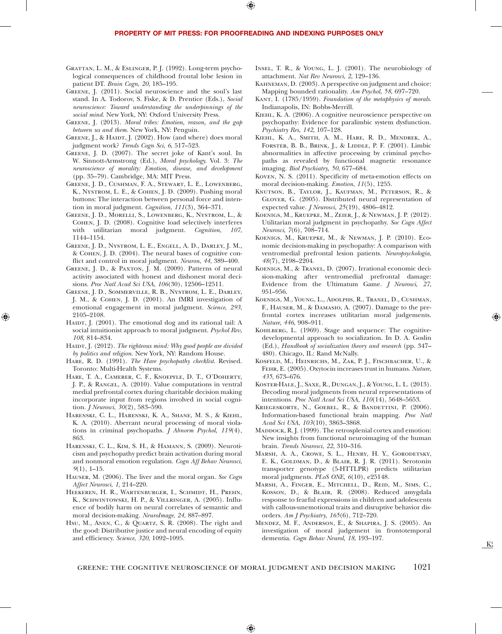- Grattan, L. M., & Eslinger, P. J. (1992). Long-term psychological consequences of childhood frontal lobe lesion in patient DT. *Brain Cogn*, *20*, 185–195.
- Greene, J. (2011). Social neuroscience and the soul's last stand. In A. Todorov, S. Fiske, & D. Prentice (Eds.), *Social neuroscience: Toward understanding the underpinnings of the social mind*. New York, NY: Oxford University Press.
- Greene, J. (2013). *Moral tribes: Emotion, reason, and the gap between us and them*. New York, NY: Penguin.
- GREENE, J., & HAIDT, J. (2002). How (and where) does moral judgment work? *Trends Cogn Sci*, *6*, 517–523.
- Greene, J. D. (2007). The secret joke of Kant's soul. In W. Sinnott-Armstrong (Ed.), *Moral psychology*. Vol. 3: *The neuroscience of morality: Emotion, disease, and development* (pp. 35–79). Cambridge, MA: MIT Press.
- Greene, J. D., Cushman, F. A., Stewart, L. E., Lowenberg, K., NYSTROM, L. E., & COHEN, J. D. (2009). Pushing moral buttons: The interaction between personal force and intention in moral judgment. *Cognition*, *111*(3), 364–371.
- Greene, J. D., Morelli, S., Lowenberg, K., Nystrom, L., & Cohen, J. D. (2008). Cognitive load selectively interferes with utilitarian moral judgment. *Cognition*, *107*, 1144–1154.
- Greene, J. D., Nystrom, L. E., Engell, A. D., Darley, J. M., & Cohen, J. D. (2004). The neural bases of cognitive conflict and control in moral judgment. *Neuron*, *44*, 389–400.
- Greene, J. D., & Paxton, J. M. (2009). Patterns of neural activity associated with honest and dishonest moral decisions. *Proc Natl Acad Sci USA*, *106*(30), 12506–12511.
- Greene, J. D., Sommerville, R. B., Nystrom, L. E., Darley, J. M., & Cohen, J. D. (2001). An fMRI investigation of emotional engagement in moral judgment. *Science*, *293*, 2105–2108.
- HAIDT, J. (2001). The emotional dog and its rational tail: A social intuitionist approach to moral judgment. *Psychol Rev*, *108*, 814–834.

⊕

- HAIDT, J. (2012). *The righteous mind: Why good people are divided by politics and religion*. New York, NY: Random House.
- Hare, R. D. (1991). *The Hare psychopathy checklist*. Revised. Toronto: Multi-Health Systems.
- Hare, T. A., Camerer, C. F., Knoepfle, D. T., O'Doherty, J. P., & Rangel, A. (2010). Value computations in ventral medial prefrontal cortex during charitable decision making incorporate input from regions involved in social cognition. *J Neurosci*, *30*(2), 583–590.
- Harenski, C. L., Harenski, K. A., Shane, M. S., & Kiehl, K. A. (2010). Aberrant neural processing of moral violations in criminal psychopaths. *J Abnorm Psychol*, *119*(4), 863.
- Harenski, C. L., Kim, S. H., & Hamann, S. (2009). Neuroticism and psychopathy predict brain activation during moral and nonmoral emotion regulation. *Cogn Aff Behav Neurosci*, *9*(1), 1–15.
- Hauser, M. (2006). The liver and the moral organ. *Soc Cogn Affect Neurosci*, *1*, 214–220.
- Heekeren, H. R., Wartenburger, I., Schmidt, H., Prehn, K., SCHWINTOWSKI, H. P., & VILLRINGER, A. (2005). Influence of bodily harm on neural correlates of semantic and moral decision-making. *NeuroImage*, *24*, 887–897.
- Hsu, M., Anen, C., & Quartz, S. R. (2008). The right and the good: Distributive justice and neural encoding of equity and efficiency. *Science*, *320*, 1092–1095.
- Insel, T. R., & Young, L. J. (2001). The neurobiology of attachment. *Nat Rev Neurosci*, *2*, 129–136.
- KAHNEMAN, D. (2003). A perspective on judgment and choice: Mapping bounded rationality. *Am Psychol*, *58*, 697–720.
- Kant, I. (1785/1959). *Foundation of the metaphysics of morals*. Indianapolis, IN: Bobbs-Merrill.
- Kiehl, K. A. (2006). A cognitive neuroscience perspective on psychopathy: Evidence for paralimbic system dysfunction. *Psychiatry Res*, *142*, 107–128.
- Kiehl, K. A., Smith, A. M., Hare, R. D., Mendrek, A., FORSTER, B. B., BRINK, J., & LIDDLE, P. F. (2001). Limbic abnormalities in affective processing by criminal psychopaths as revealed by functional magnetic resonance imaging. *Biol Psychiatry*, *50*, 677–684.
- Koven, N. S. (2011). Specificity of meta-emotion effects on moral decision-making. *Emotion*, *11*(5), 1255.
- Knutson, B., Taylor, J., Kaufman, M., Peterson, R., & Glover, G. (2005). Distributed neural representation of expected value. *J Neurosci*, *25*(19), 4806–4812.
- Koenigs, M., Kruepke, M., Zeier, J., & Newman, J. P. (2012). Utilitarian moral judgment in psychopathy. *Soc Cogn Affect Neurosci*, *7*(6), 708–714.
- Koenigs, M., Kruepke, M., & Newman, J. P. (2010). Economic decision-making in psychopathy: A comparison with ventromedial prefrontal lesion patients. *Neuropsychologia*, *48*(7), 2198–2204.
- Koenigs, M., & Tranel, D. (2007). Irrational economic decision-making after ventromedial prefrontal damage: Evidence from the Ultimatum Game. *J Neurosci*, *27*, 951–956.
- Koenigs, M., Young, L., Adolphs, R., Tranel, D., Cushman, F., Hauser, M., & Damasio, A. (2007). Damage to the prefrontal cortex increases utilitarian moral judgements. *Nature*, *446*, 908–911.
- KOHLBERG, L. (1969). Stage and sequence: The cognitivedevelopmental approach to socialization. In D. A. Goslin (Ed.), *Handbook of socialization theory and research* (pp. 347– 480). Chicago, IL: Rand McNally.
- Kosfeld, M., Heinrichs, M., Zak, P. J., Fischbacher, U., & Fehr, E. (2005). Oxytocin increases trust in humans. *Nature*, *435*, 673–676.
- Koster-Hale, J., Saxe, R., Dungan, J., & Young, L. L. (2013). Decoding moral judgments from neural representations of intentions. *Proc Natl Acad Sci USA*, *110*(14), 5648–5653.
- Kriegeskorte, N., Goebel, R., & Bandettini, P. (2006). Information-based functional brain mapping. *Proc Natl Acad Sci USA*, *103*(10), 3863–3868.
- Марроск, R.J. (1999). The retrosplenial cortex and emotion: New insights from functional neuroimaging of the human brain. *Trends Neurosci*, *22*, 310–316.
- Marsh, A. A., Crowe, S. L., Henry, H. Y., Gorodetsky, E. K., Goldman, D., & Blair, R. J. R. (2011). Serotonin transporter genotype (5-HTTLPR) predicts utilitarian moral judgments. *PLoS ONE*, *6*(10), e25148.
- Marsh, A., Finger, E., Mitchell, D., Reid, M., Sims, C., Kosson, D., & Blair, R. (2008). Reduced amygdala response to fearful expressions in children and adolescents with callous-unemotional traits and disruptive behavior disorders. *Am J Psychiatry*, *165*(6), 712–720.
- Mendez, M. F., Anderson, E., & Shapira, J. S. (2005). An investigation of moral judgement in frontotemporal dementia. *Cogn Behav Neurol*, *18*, 193–197.

 $K_2^c$ 

greene: the cognitive neuroscience of moral judgment and decision making 1021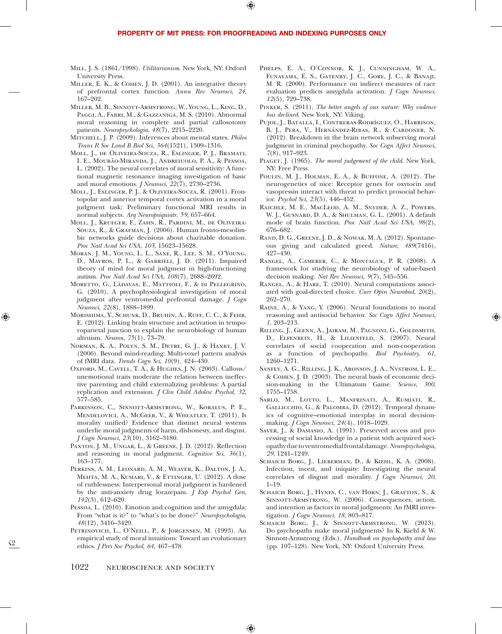- Mill, J. S. (1861/1998). *Utilitarianism*. New York, NY: Oxford University Press.
- Miller, E. K., & Cohen, J. D. (2001). An integrative theory of prefrontal cortex function. *Annu Rev Neurosci*, *24*, 167–202.
- Miller, M. B., Sinnott-Armstrong, W., Young, L., King, D., Paggi, A., Fabri, M., & Gazzaniga, M. S. (2010). Abnormal moral reasoning in complete and partial callosotomy patients. *Neuropsychologia*, *48*(7), 2215–2220.
- Mitchell, J. P. (2009). Inferences about mental states. *Philos Trans R Soc Lond B Biol Sci*, *364*(1521), 1309–1316.
- Moll, J., de Oliveira-Souza, R., Eslinger, P. J., Bramati, I. E., Mourão-Miranda, J., Andreiuolo, P. A., & Pessoa, L. (2002). The neural correlates of moral sensitivity: A functional magnetic resonance imaging investigation of basic and moral emotions. *J Neurosci*, *22*(7), 2730–2736.
- Moll, J., Eslinger, P. J., & Oliveira-Souza, R. (2001). Frontopolar and anterior temporal cortex activation in a moral judgment task: Preliminary functional MRI results in normal subjects. *Arq Neuropsiquiatr*, *59*, 657–664.
- Moll, J., Krueger, F., Zahn, R., Pardini, M., de Oliveira-Souza, R., & Grafman, J. (2006). Human fronto-mesolimbic networks guide decisions about charitable donation. *Proc Natl Acad Sci USA*, *103*, 15623–15628.
- Moran, J. M., Young, L. L., Saxe, R., Lee, S. M., O'Young, D., Mavros, P. L., & Gabrieli, J. D. (2011). Impaired theory of mind for moral judgment in high-functioning autism. *Proc Natl Acad Sci USA*, *108*(7), 2688–2692.
- Moretto, G., Làdavas, E., Mattioli, F., & di Pellegrino, G. (2010). A psychophysiological investigation of moral judgment after ventromedial prefrontal damage. *J Cogn Neurosci*, *22*(8), 1888–1899.
- Morishima, Y., Schunk, D., Bruhin, A., Ruff, C. C., & Fehr, E. (2012). Linking brain structure and activation in temporoparietal junction to explain the neurobiology of human altruism. *Neuron*, *75*(1), 73–79.
- Norman, K. A., Polyn, S. M., Detre, G. J., & Haxby, J. V. (2006). Beyond mind-reading: Multi-voxel pattern analysis of fMRI data. *Trends Cogn Sci*, *10*(9), 424–430.
- Oxford, M., Cavell, T. A., & Hughes, J. N. (2003). Callous/ unemotional traits moderate the relation between ineffective parenting and child externalizing problems: A partial replication and extension. *J Clin Child Adolesc Psychol*, *32*, 577–585.
- Parkinson, C., Sinnott-Armstrong, W., Koralus, P. E., Mendelovici, A., McGeer, V., & Wheatley, T. (2011). Is morality unified? Evidence that distinct neural systems underlie moral judgments of harm, dishonesty, and disgust. *J Cogn Neurosci*, *23*(10), 3162–3180.
- PAXTON, J. M., UNGAR, L., & GREENE, J. D. (2012). Reflection and reasoning in moral judgment. *Cognitive Sci*, *36*(1), 163–177.
- Perkins, A. M., Leonard, A. M., Weaver, K., Dalton, J. A., Mehta, M. A., Kumari, V., & Ettinger, U. (2012). A dose of ruthlessness: Interpersonal moral judgment is hardened by the anti-anxiety drug lorazepam. *J Exp Psychol Gen*, *142*(3), 612–620.
- Pessoa, L. (2010). Emotion and cognition and the amygdala: From "what is it?" to "what's to be done?" *Neuropsychologia*, *48*(12), 3416–3429.
- PETRINOVICH, L., O'NEILL, P., & JORGENSEN, M. (1993). An empirical study of moral intuitions: Toward an evolutionary ethics. *J Pers Soc Psychol*, *64*, 467–478.

## 1022 NEUROSCIENCE AND SOCIETY

 $\zeta_2$ 

⊕

- PHELPS, E. A., O'CONNOR, K. J., CUNNINGHAM, W. A., Funayama, E. S., Gatenby, J. C., Gore, J. C., & Banaji, M. R. (2000). Performance on indirect measures of race evaluation predicts amygdala activation. *J Cogn Neurosci*, *12*(5), 729–738.
- Pinker, S. (2011). *The better angels of our nature: Why violence has declined*. New York, NY: Viking.
- Pujol, J., Batalla, I., Contreras-Rodríguez, O., Harrison, B. J., Pera, V., Hernández-Ribas, R., & Cardoner, N. (2012). Breakdown in the brain network subserving moral judgment in criminal psychopathy. *Soc Cogn Affect Neurosci*, *7*(8), 917–923.
- PIAGET, J. (1965). *The moral judgement of the child*. New York, NY: Free Press.
- POULIN, M. J., HOLMAN, E. A., & BUFFONE, A. (2012). The neurogenetics of nice: Receptor genes for oxytocin and vasopressin interact with threat to predict prosocial behavior. *Psychol Sci*, *23*(5), 446–452.
- Raichle, M. E., MacLeod, A. M., Snyder, A. Z., Powers, W. J., Gusnard, D. A., & Shulman, G. L. (2001). A default mode of brain function. *Proc Natl Acad Sci USA*, *98*(2), 676–682.
- Rand, D. G., Greene, J. D., & Nowak, M. A. (2012). Spontaneous giving and calculated greed. *Nature*, *489*(7416), 427–430.
- Rangel, A., Camerer, C., & Montague, P. R. (2008). A framework for studying the neurobiology of value-based decision making. *Nat Rev Neurosci*, *9*(7), 545–556.
- Rangel, A., & Hare, T. (2010). Neural computations associated with goal-directed choice. *Curr Opin Neurobiol*, *20*(2), 262–270.
- Raine, A., & Yang, Y. (2006). Neural foundations to moral reasoning and antisocial behavior. *Soc Cogn Affect Neurosci*, *1*, 203–213.

⊕

- Rilling, J., Glenn, A., Jairam, M., Pagnoni, G., Goldsmith, D., Elfenbein, H., & Lilienfeld, S. (2007). Neural correlates of social cooperation and non-cooperation as a function of psychopathy. *Biol Psychiatry*, *61*, 1260–1271.
- Sanfey, A. G., Rilling, J. K., Aronson, J. A., Nystrom, L. E., & Cohen, J. D. (2003). The neural basis of economic decision-making in the Ultimatum Game. *Science*, *300*, 1755–1758.
- SARLO, M., LOTTO, L., MANFRINATI, A., RUMIATI, R., Gallicchio, G., & Palomba, D. (2012). Temporal dynamics of cognitive–emotional interplay in moral decisionmaking. *J Cogn Neurosci*, *24*(4), 1018–1029.
- SAVER, J., & DAMASIO, A. (1991). Preserved access and processing of social knowledge in a patient with acquired sociopathy due to ventromedial frontal damage. *Neuropsychologia*, *29*, 1241–1249.
- SCHAICH BORG, J., LIEBERMAN, D., & KIEHL, K. A. (2008). Infection, incest, and iniquity: Investigating the neural correlates of disgust and morality. *J Cogn Neurosci*, *20*, 1–19.
- SCHAICH BORG, J., HYNES, C., VAN HORN, J., GRAFTON, S., & SINNOTT-ARMSTRONG, W. (2006). Consequences, action, and intention as factors in moral judgments: An fMRI investigation. *J Cogn Neurosci*, *18*, 803–817.
- SCHAICH BORG, J., & SINNOTT-ARMSTRONG, W. (2013). Do psychopaths make moral judgments? In K. Kiehl & W. Sinnott-Armstrong (Eds.), *Handbook on psychopathy and law* (pp. 107–128). New York, NY: Oxford University Press.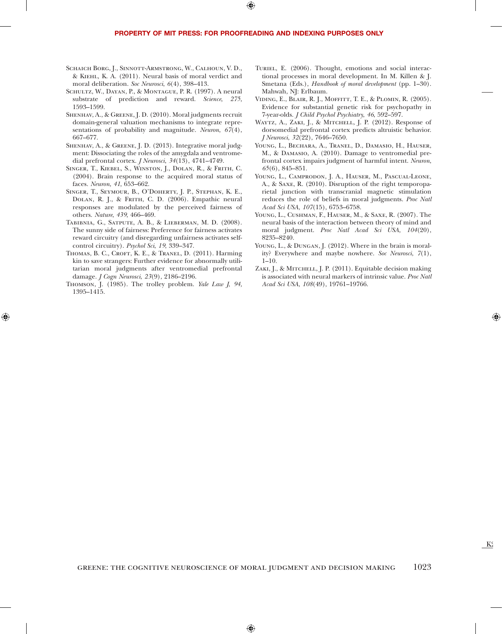⊕

- SCHAICH BORG, J., SINNOTT-ARMSTRONG, W., CALHOUN, V. D., & Kiehl, K. A. (2011). Neural basis of moral verdict and moral deliberation. *Soc Neurosci*, *6*(4), 398–413.
- Schultz, W., Dayan, P., & Montague, P. R. (1997). A neural substrate of prediction and reward. *Science*, *275*, 1593–1599.
- Shenhav, A., & Greene, J. D. (2010). Moral judgments recruit domain-general valuation mechanisms to integrate representations of probability and magnitude. *Neuron*, *67*(4), 667–677.
- SHENHAV, A., & GREENE, J. D. (2013). Integrative moral judgment: Dissociating the roles of the amygdala and ventromedial prefrontal cortex. *J Neurosci*, *34*(13), 4741–4749.
- Singer, T., Kiebel, S., Winston, J., Dolan, R., & Frith, C. (2004). Brain response to the acquired moral status of faces. *Neuron*, *41*, 653–662.
- Singer, T., Seymour, B., O'Doherty, J. P., Stephan, K. E., Dolan, R. J., & Frith, C. D. (2006). Empathic neural responses are modulated by the perceived fairness of others. *Nature*, *439*, 466–469.
- Tabibnia, G., Satpute, A. B., & Lieberman, M. D. (2008). The sunny side of fairness: Preference for fairness activates reward circuitry (and disregarding unfairness activates selfcontrol circuitry). *Psychol Sci*, *19*, 339–347.
- THOMAS, B. C., CROFT, K. E., & TRANEL, D. (2011). Harming kin to save strangers: Further evidence for abnormally utilitarian moral judgments after ventromedial prefrontal damage. *J Cogn Neurosci*, *23*(9), 2186–2196.
- Thomson, J. (1985). The trolley problem. *Yale Law J*, *94*, 1395–1415.

⊕

- TURIEL, E. (2006). Thought, emotions and social interactional processes in moral development. In M. Killen & J. Smetana (Eds.), *Handbook of moral development* (pp. 1–30). Mahwah, NJ: Erlbaum.
- Viding, E., Blair, R. J., Moffitt, T. E., & Plomin, R. (2005). Evidence for substantial genetic risk for psychopathy in 7-year-olds. *J Child Psychol Psychiatry*, *46*, 592–597.
- Waytz, A., Zaki, J., & Mitchell, J. P. (2012). Response of dorsomedial prefrontal cortex predicts altruistic behavior. *J Neurosci*, *32*(22), 7646–7650.
- Young, L., Bechara, A., Tranel, D., Damasio, H., Hauser, M., & Damasio, A. (2010). Damage to ventromedial prefrontal cortex impairs judgment of harmful intent. *Neuron*, *65*(6), 845–851.
- Young, L., Camprodon, J. A., Hauser, M., Pascual-Leone, A., & Saxe, R. (2010). Disruption of the right temporoparietal junction with transcranial magnetic stimulation reduces the role of beliefs in moral judgments. *Proc Natl Acad Sci USA*, *107*(15), 6753–6758.
- Young, L., Cushman, F., Hauser, M., & Saxe, R. (2007). The neural basis of the interaction between theory of mind and moral judgment. *Proc Natl Acad Sci USA*, *104*(20), 8235–8240.
- YOUNG, L., & DUNGAN, J. (2012). Where in the brain is morality? Everywhere and maybe nowhere. *Soc Neurosci*, *7*(1), 1–10.
- ZAKI, J., & MITCHELL, J. P. (2011). Equitable decision making is associated with neural markers of intrinsic value. *Proc Natl Acad Sci USA*, *108*(49), 19761–19766.

 $K_2^c$ 

 $\bigoplus$